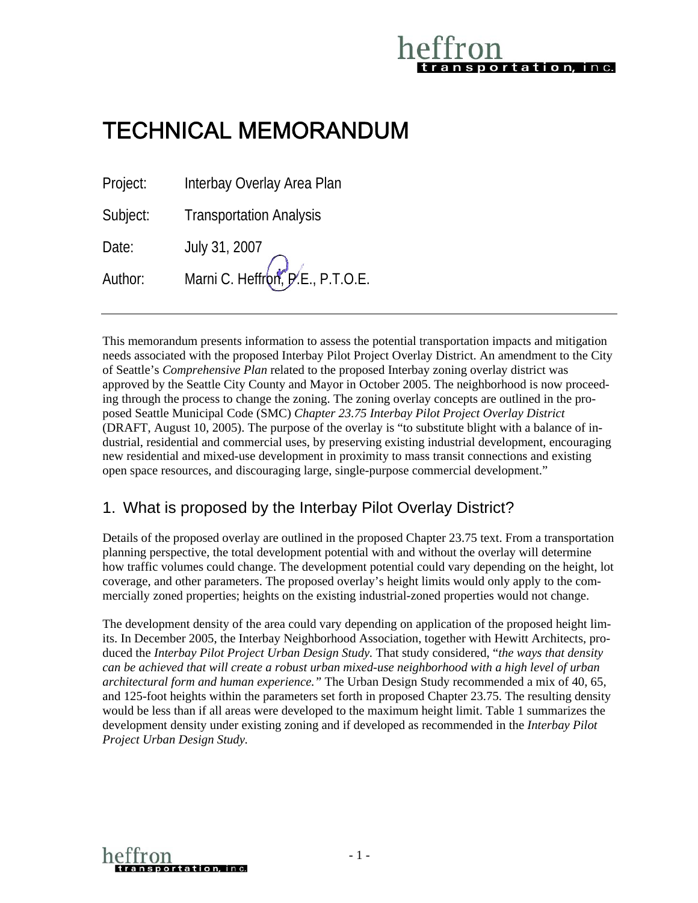# portation, in c.

## TECHNICAL MEMORANDUM

Project: Interbay Overlay Area Plan Subject: Transportation Analysis Date: July 31, 2007

Author: Marni C. Heffron, P.E., P.T.O.E.

This memorandum presents information to assess the potential transportation impacts and mitigation needs associated with the proposed Interbay Pilot Project Overlay District. An amendment to the City of Seattle's *Comprehensive Plan* related to the proposed Interbay zoning overlay district was approved by the Seattle City County and Mayor in October 2005. The neighborhood is now proceeding through the process to change the zoning. The zoning overlay concepts are outlined in the proposed Seattle Municipal Code (SMC) *Chapter 23.75 Interbay Pilot Project Overlay District*  (DRAFT, August 10, 2005). The purpose of the overlay is "to substitute blight with a balance of industrial, residential and commercial uses, by preserving existing industrial development, encouraging new residential and mixed-use development in proximity to mass transit connections and existing open space resources, and discouraging large, single-purpose commercial development."

## 1. What is proposed by the Interbay Pilot Overlay District?

Details of the proposed overlay are outlined in the proposed Chapter 23.75 text. From a transportation planning perspective, the total development potential with and without the overlay will determine how traffic volumes could change. The development potential could vary depending on the height, lot coverage, and other parameters. The proposed overlay's height limits would only apply to the commercially zoned properties; heights on the existing industrial-zoned properties would not change.

The development density of the area could vary depending on application of the proposed height limits. In December 2005, the Interbay Neighborhood Association, together with Hewitt Architects, produced the *Interbay Pilot Project Urban Design Study.* That study considered, "*the ways that density can be achieved that will create a robust urban mixed-use neighborhood with a high level of urban architectural form and human experience."* The Urban Design Study recommended a mix of 40, 65, and 125-foot heights within the parameters set forth in proposed Chapter 23.75. The resulting density would be less than if all areas were developed to the maximum height limit. Table 1 summarizes the development density under existing zoning and if developed as recommended in the *Interbay Pilot Project Urban Design Study.* 

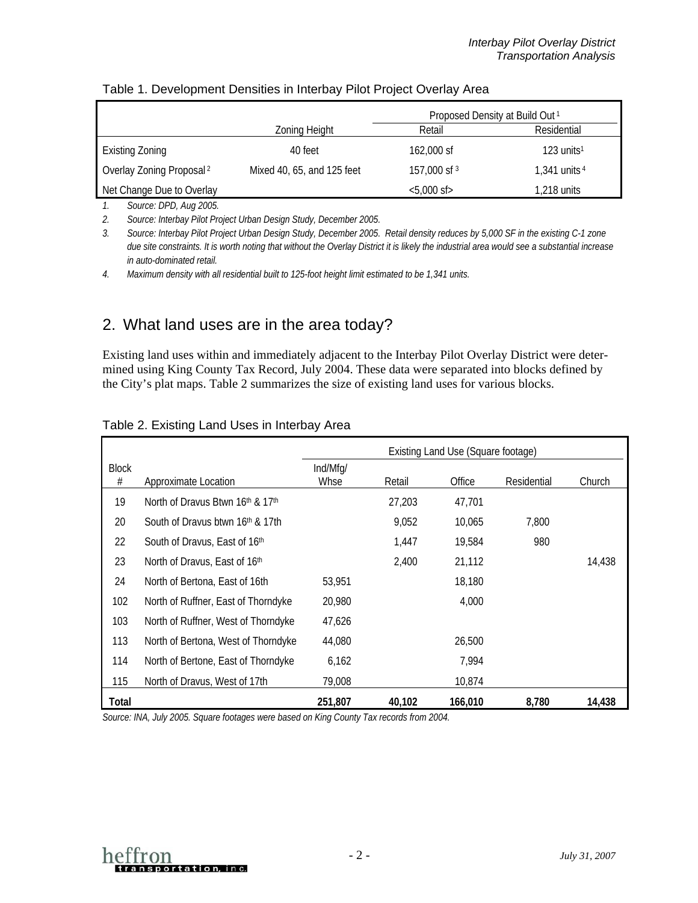|                                      |                            | Proposed Density at Build Out <sup>1</sup> |                          |  |  |
|--------------------------------------|----------------------------|--------------------------------------------|--------------------------|--|--|
|                                      | Zoning Height              | Residential<br>Retail                      |                          |  |  |
| <b>Existing Zoning</b>               | 40 feet                    | 162,000 sf                                 | $123$ units <sup>1</sup> |  |  |
| Overlay Zoning Proposal <sup>2</sup> | Mixed 40, 65, and 125 feet | 157,000 sf 3                               | 1,341 units $4$          |  |  |
| Net Change Due to Overlay            |                            | $<$ 5,000 sf $>$                           | 1,218 units              |  |  |

#### <span id="page-1-1"></span>Table 1. Development Densities in Interbay Pilot Project Overlay Area

*1. Source: DPD, Aug 2005.* 

*2. Source: Interbay Pilot Project Urban Design Study, December 2005.* 

*3. Source: Interbay Pilot Project Urban Design Study, December 2005. Retail density reduces by 5,000 SF in the existing C-1 zone due site constraints. It is worth noting that without the Overlay District it is likely the industrial area would see a substantial increase in auto-dominated retail.* 

*4. Maximum density with all residential built to 125-foot height limit estimated to be 1,341 units.*

## 2. What land uses are in the area today?

Existing land uses within and immediately adjacent to the Interbay Pilot Overlay District were determined using King County Tax Record, July 2004. These data were separated into blocks defined by the City's plat maps. [Table 2 s](#page-1-0)ummarizes the size of existing land uses for various blocks.

|              |                                              | Existing Land Use (Square footage) |        |         |             |        |  |
|--------------|----------------------------------------------|------------------------------------|--------|---------|-------------|--------|--|
| <b>Block</b> |                                              | Ind/Mfg/                           |        |         |             |        |  |
| #            | Approximate Location                         | Whse                               | Retail | Office  | Residential | Church |  |
| 19           | North of Dravus Btwn 16th & 17th             |                                    | 27,203 | 47,701  |             |        |  |
| 20           | South of Dravus btwn 16 <sup>th</sup> & 17th |                                    | 9,052  | 10,065  | 7,800       |        |  |
| 22           | South of Dravus, East of 16th                |                                    | 1.447  | 19,584  | 980         |        |  |
| 23           | North of Dravus, East of 16th                |                                    | 2,400  | 21,112  |             | 14,438 |  |
| 24           | North of Bertona, East of 16th               | 53,951                             |        | 18,180  |             |        |  |
| 102          | North of Ruffner, East of Thorndyke          | 20,980                             |        | 4,000   |             |        |  |
| 103          | North of Ruffner, West of Thorndyke          | 47,626                             |        |         |             |        |  |
| 113          | North of Bertona, West of Thorndyke          | 44,080                             |        | 26,500  |             |        |  |
| 114          | North of Bertone, East of Thorndyke          | 6,162                              |        | 7,994   |             |        |  |
| 115          | North of Dravus, West of 17th                | 79,008                             |        | 10,874  |             |        |  |
| Total        |                                              | 251,807                            | 40,102 | 166,010 | 8,780       | 14,438 |  |

#### <span id="page-1-0"></span>Table 2. Existing Land Uses in Interbay Area

*Source: INA, July 2005. Square footages were based on King County Tax records from 2004.* 

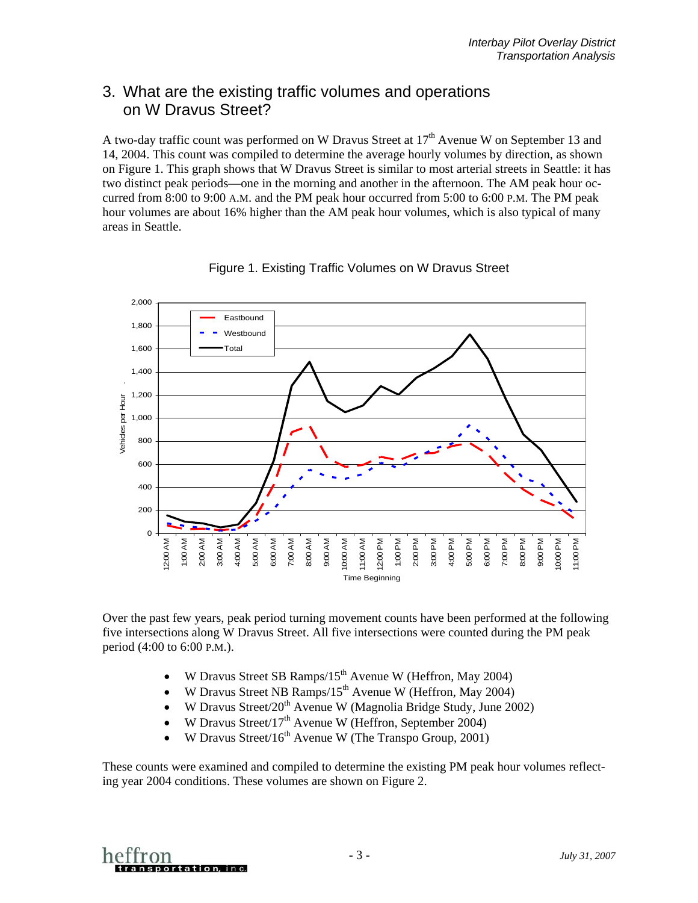## 3. What are the existing traffic volumes and operations on W Dravus Street?

A two-day traffic count was performed on W Dravus Street at 17<sup>th</sup> Avenue W on September 13 and 14, 2004. This count was compiled to determine the average hourly volumes by direction, as shown on [Figure 1.](#page-2-0) This graph shows that W Dravus Street is similar to most arterial streets in Seattle: it has two distinct peak periods—one in the morning and another in the afternoon. The AM peak hour occurred from 8:00 to 9:00 A.M. and the PM peak hour occurred from 5:00 to 6:00 P.M. The PM peak hour volumes are about 16% higher than the AM peak hour volumes, which is also typical of many areas in Seattle.



<span id="page-2-0"></span>Figure 1. Existing Traffic Volumes on W Dravus Street

Over the past few years, peak period turning movement counts have been performed at the following five intersections along W Dravus Street. All five intersections were counted during the PM peak period (4:00 to 6:00 P.M.).

- W Dravus Street SB Ramps/15<sup>th</sup> Avenue W (Heffron, May 2004)
- W Dravus Street NB Ramps/15<sup>th</sup> Avenue W (Heffron, May 2004)
- W Dravus Street/20<sup>th</sup> Avenue W (Magnolia Bridge Study, June 2002)
- W Dravus Street/17<sup>th</sup> Avenue W (Heffron, September 2004)
- W Dravus Street/ $16<sup>th</sup>$  Avenue W (The Transpo Group, 2001)

These counts were examined and compiled to determine the existing PM peak hour volumes reflecting year 2004 conditions. These volumes are shown on [Figure 2.](#page-3-0)

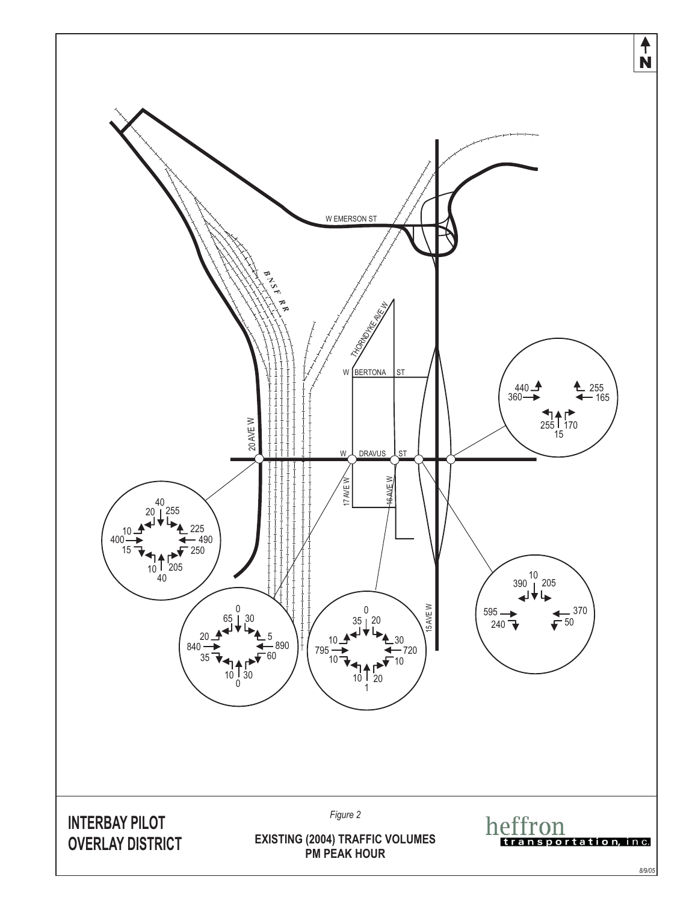<span id="page-3-0"></span>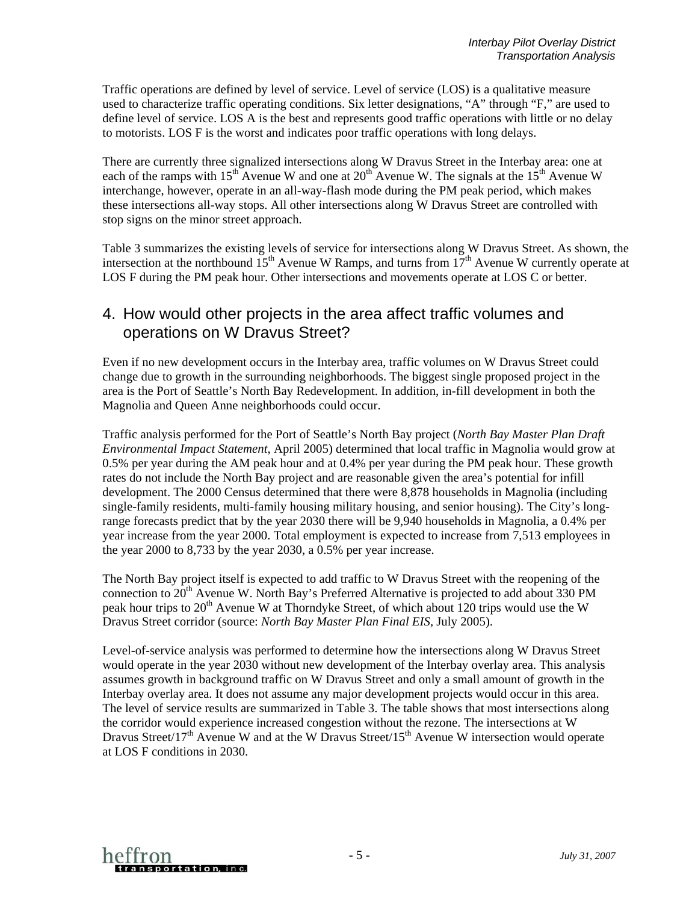Traffic operations are defined by level of service. Level of service (LOS) is a qualitative measure used to characterize traffic operating conditions. Six letter designations, "A" through "F," are used to define level of service. LOS A is the best and represents good traffic operations with little or no delay to motorists. LOS F is the worst and indicates poor traffic operations with long delays.

There are currently three signalized intersections along W Dravus Street in the Interbay area: one at each of the ramps with 15<sup>th</sup> Avenue W and one at 20<sup>th</sup> Avenue W. The signals at the 15<sup>th</sup> Avenue W interchange, however, operate in an all-way-flash mode during the PM peak period, which makes these intersections all-way stops. All other intersections along W Dravus Street are controlled with stop signs on the minor street approach.

[Table 3](#page-5-0) summarizes the existing levels of service for intersections along W Dravus Street. As shown, the intersection at the northbound  $15<sup>th</sup>$  Avenue W Ramps, and turns from  $17<sup>th</sup>$  Avenue W currently operate at LOS F during the PM peak hour. Other intersections and movements operate at LOS C or better.

### 4. How would other projects in the area affect traffic volumes and operations on W Dravus Street?

Even if no new development occurs in the Interbay area, traffic volumes on W Dravus Street could change due to growth in the surrounding neighborhoods. The biggest single proposed project in the area is the Port of Seattle's North Bay Redevelopment. In addition, in-fill development in both the Magnolia and Queen Anne neighborhoods could occur.

Traffic analysis performed for the Port of Seattle's North Bay project (*North Bay Master Plan Draft Environmental Impact Statement*, April 2005) determined that local traffic in Magnolia would grow at 0.5% per year during the AM peak hour and at 0.4% per year during the PM peak hour. These growth rates do not include the North Bay project and are reasonable given the area's potential for infill development. The 2000 Census determined that there were 8,878 households in Magnolia (including single-family residents, multi-family housing military housing, and senior housing). The City's longrange forecasts predict that by the year 2030 there will be 9,940 households in Magnolia, a 0.4% per year increase from the year 2000. Total employment is expected to increase from 7,513 employees in the year 2000 to 8,733 by the year 2030, a 0.5% per year increase.

The North Bay project itself is expected to add traffic to W Dravus Street with the reopening of the connection to  $20<sup>th</sup>$  Avenue W. North Bay's Preferred Alternative is projected to add about 330 PM peak hour trips to  $20<sup>th</sup>$  Avenue W at Thorndyke Street, of which about 120 trips would use the W Dravus Street corridor (source: *North Bay Master Plan Final EIS,* July 2005).

Level-of-service analysis was performed to determine how the intersections along W Dravus Street would operate in the year 2030 without new development of the Interbay overlay area. This analysis assumes growth in background traffic on W Dravus Street and only a small amount of growth in the Interbay overlay area. It does not assume any major development projects would occur in this area. The level of service results are summarized in [Table 3.](#page-5-0) The table shows that most intersections along the corridor would experience increased congestion without the rezone. The intersections at W Dravus Street/17<sup>th</sup> Avenue W and at the W Dravus Street/15<sup>th</sup> Avenue W intersection would operate at LOS F conditions in 2030.

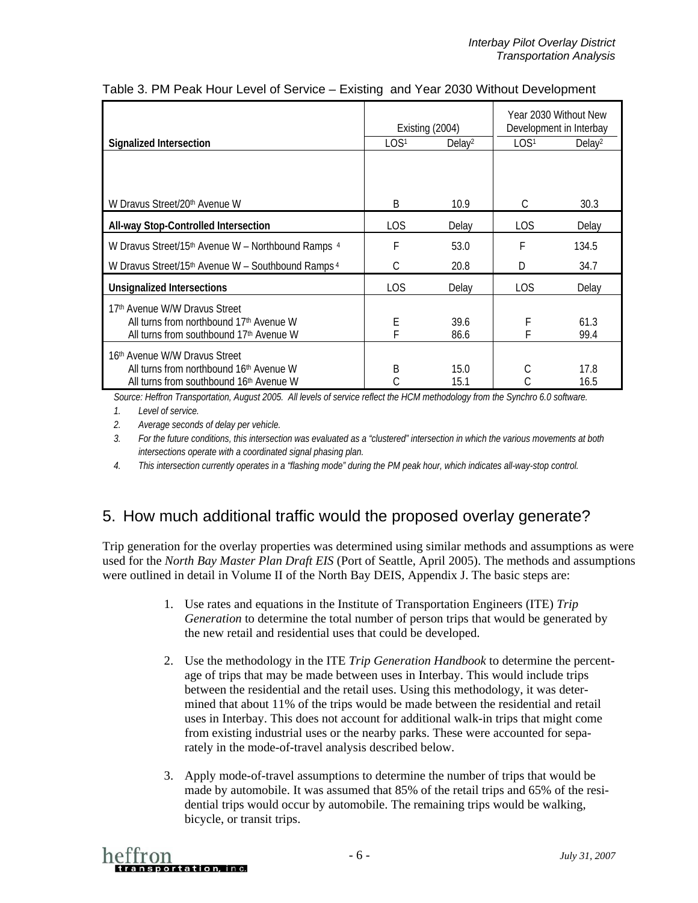|                                                                                                                                 | Existing (2004)  |                    |                  | Year 2030 Without New<br>Development in Interbay |
|---------------------------------------------------------------------------------------------------------------------------------|------------------|--------------------|------------------|--------------------------------------------------|
| <b>Signalized Intersection</b>                                                                                                  | LOS <sup>1</sup> | Delay <sup>2</sup> | LOS <sup>1</sup> | Delay <sup>2</sup>                               |
| W Dravus Street/20th Avenue W                                                                                                   | B                | 10.9               | C                | 30.3                                             |
| All-way Stop-Controlled Intersection                                                                                            | <b>LOS</b>       | Delay              | LOS.             | Delay                                            |
| W Dravus Street/15th Avenue W - Northbound Ramps 4                                                                              | F                | 53.0               | F                | 134.5                                            |
| W Dravus Street/15 <sup>th</sup> Avenue W – Southbound Ramps <sup>4</sup>                                                       | C                | 20.8               | D                | 34.7                                             |
| <b>Unsignalized Intersections</b>                                                                                               | LOS              | Delay              | LOS.             | Delay                                            |
| 17th Avenue W/W Dravus Street<br>All turns from northbound 17 <sup>th</sup> Avenue W<br>All turns from southbound 17th Avenue W | E<br>F           | 39.6<br>86.6       | F                | 61.3<br>99.4                                     |
| 16 <sup>th</sup> Avenue W/W Dravus Street<br>All turns from northbound 16th Avenue W<br>All turns from southbound 16th Avenue W | B<br>C           | 15.0<br>15.1       | С                | 17.8<br>16.5                                     |

#### <span id="page-5-0"></span>Table 3. PM Peak Hour Level of Service – Existing and Year 2030 Without Development

*Source: Heffron Transportation, August 2005. All levels of service reflect the HCM methodology from the Synchro 6.0 software.*

*1. Level of service.* 

*2. Average seconds of delay per vehicle.* 

*3. For the future conditions, this intersection was evaluated as a "clustered" intersection in which the various movements at both intersections operate with a coordinated signal phasing plan.* 

*4. This intersection currently operates in a "flashing mode" during the PM peak hour, which indicates all-way-stop control.* 

## 5. How much additional traffic would the proposed overlay generate?

Trip generation for the overlay properties was determined using similar methods and assumptions as were used for the *North Bay Master Plan Draft EIS* (Port of Seattle, April 2005). The methods and assumptions were outlined in detail in Volume II of the North Bay DEIS, Appendix J. The basic steps are:

- 1. Use rates and equations in the Institute of Transportation Engineers (ITE) *Trip Generation* to determine the total number of person trips that would be generated by the new retail and residential uses that could be developed.
- 2. Use the methodology in the ITE *Trip Generation Handbook* to determine the percentage of trips that may be made between uses in Interbay. This would include trips between the residential and the retail uses. Using this methodology, it was determined that about 11% of the trips would be made between the residential and retail uses in Interbay. This does not account for additional walk-in trips that might come from existing industrial uses or the nearby parks. These were accounted for separately in the mode-of-travel analysis described below.
- 3. Apply mode-of-travel assumptions to determine the number of trips that would be made by automobile. It was assumed that 85% of the retail trips and 65% of the residential trips would occur by automobile. The remaining trips would be walking, bicycle, or transit trips.

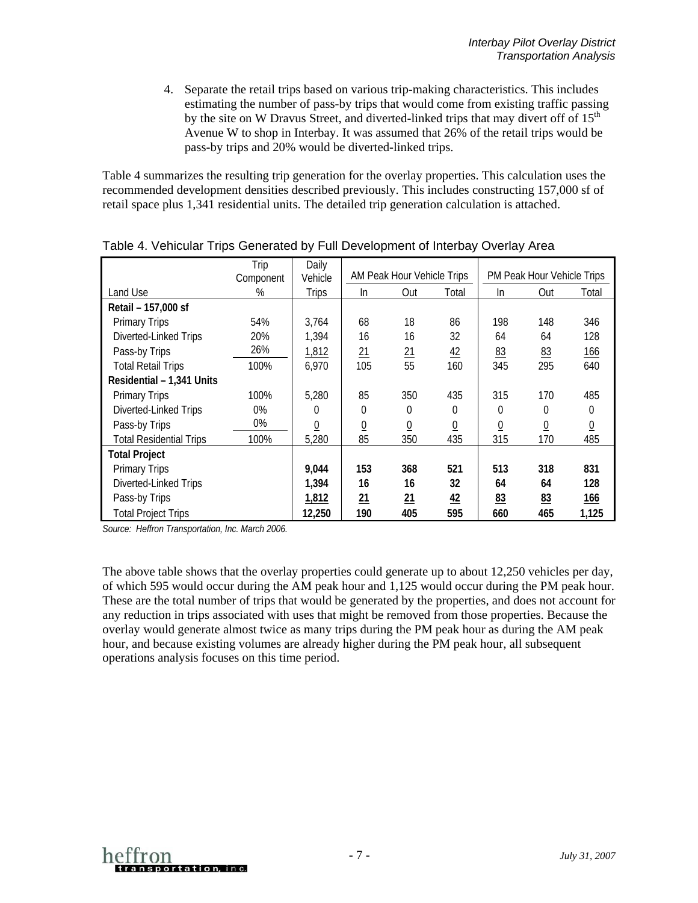4. Separate the retail trips based on various trip-making characteristics. This includes estimating the number of pass-by trips that would come from existing traffic passing by the site on W Dravus Street, and diverted-linked trips that may divert off of  $15<sup>th</sup>$ Avenue W to shop in Interbay. It was assumed that 26% of the retail trips would be pass-by trips and 20% would be diverted-linked trips.

Table 4 summarizes the resulting trip generation for the overlay properties. This calculation uses the recommended development densities described previously. This includes constructing 157,000 sf of retail space plus 1,341 residential units. The detailed trip generation calculation is attached.

|                                | Trip      | Daily          |                            |                 |                            |                 |                 |                 |
|--------------------------------|-----------|----------------|----------------------------|-----------------|----------------------------|-----------------|-----------------|-----------------|
|                                | Component | Vehicle        | AM Peak Hour Vehicle Trips |                 | PM Peak Hour Vehicle Trips |                 |                 |                 |
| Land Use                       | %         | <b>Trips</b>   | In                         | Out             | Total                      | In.             | Out             | Total           |
| Retail - 157,000 sf            |           |                |                            |                 |                            |                 |                 |                 |
| <b>Primary Trips</b>           | 54%       | 3,764          | 68                         | 18              | 86                         | 198             | 148             | 346             |
| Diverted-Linked Trips          | 20%       | 1,394          | 16                         | 16              | 32                         | 64              | 64              | 128             |
| Pass-by Trips                  | 26%       | 1,812          | 21                         | $\overline{21}$ | 42                         | 83              | 83              | <u>166</u>      |
| <b>Total Retail Trips</b>      | 100%      | 6,970          | 105                        | 55              | 160                        | 345             | 295             | 640             |
| Residential - 1,341 Units      |           |                |                            |                 |                            |                 |                 |                 |
| <b>Primary Trips</b>           | 100%      | 5,280          | 85                         | 350             | 435                        | 315             | 170             | 485             |
| Diverted-Linked Trips          | 0%        | 0              | 0                          | 0               | 0                          | $\theta$        | 0               | 0               |
| Pass-by Trips                  | 0%        | $\overline{0}$ | $\underline{0}$            | $\underline{0}$ | $\overline{0}$             | $\underline{0}$ | $\underline{0}$ | $\underline{0}$ |
| <b>Total Residential Trips</b> | 100%      | 5,280          | 85                         | 350             | 435                        | 315             | 170             | 485             |
| <b>Total Project</b>           |           |                |                            |                 |                            |                 |                 |                 |
| <b>Primary Trips</b>           |           | 9,044          | 153                        | 368             | 521                        | 513             | 318             | 831             |
| Diverted-Linked Trips          |           | 1,394          | 16                         | 16              | 32                         | 64              | 64              | 128             |
| Pass-by Trips                  |           | 1,812          | 21                         | 21              | $\frac{42}{5}$             | 83              | 83              | <u>166</u>      |
| <b>Total Project Trips</b>     |           | 12,250         | 190                        | 405             | 595                        | 660             | 465             | 1,125           |

Table 4. Vehicular Trips Generated by Full Development of Interbay Overlay Area

*Source: Heffron Transportation, Inc. March 2006.* 

The above table shows that the overlay properties could generate up to about 12,250 vehicles per day, of which 595 would occur during the AM peak hour and 1,125 would occur during the PM peak hour. These are the total number of trips that would be generated by the properties, and does not account for any reduction in trips associated with uses that might be removed from those properties. Because the overlay would generate almost twice as many trips during the PM peak hour as during the AM peak hour, and because existing volumes are already higher during the PM peak hour, all subsequent operations analysis focuses on this time period.

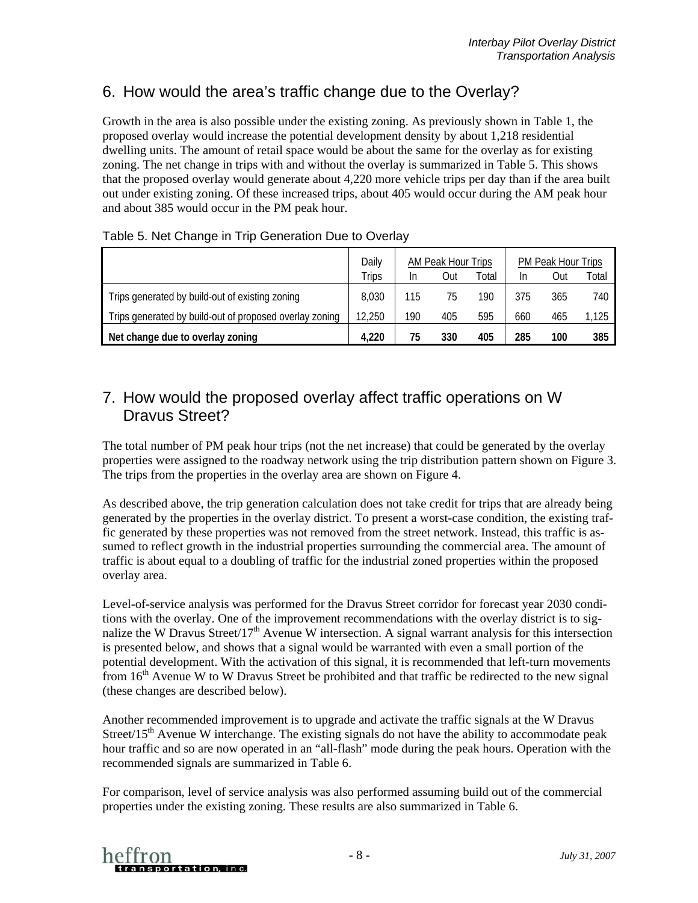## 6. How would the area's traffic change due to the Overlay?

Growth in the area is also possible under the existing zoning. As previously shown in [Table 1,](#page-1-1) the proposed overlay would increase the potential development density by about 1,218 residential dwelling units. The amount of retail space would be about the same for the overlay as for existing zoning. The net change in trips with and without the overlay is summarized in [Table 5.](#page-7-0) This shows that the proposed overlay would generate about 4,220 more vehicle trips per day than if the area built out under existing zoning. Of these increased trips, about 405 would occur during the AM peak hour and about 385 would occur in the PM peak hour.

|                                                         | Daily  | AM Peak Hour Trips |     | PM Peak Hour Trips |     |     |       |
|---------------------------------------------------------|--------|--------------------|-----|--------------------|-----|-----|-------|
|                                                         | Trips  | In                 | Out | Total              | In  | Out | Total |
| Trips generated by build-out of existing zoning         | 8,030  | 115                | 75  | 190                | 375 | 365 | 740   |
| Trips generated by build-out of proposed overlay zoning | 12,250 | 190                | 405 | 595                | 660 | 465 | 1,125 |
| Net change due to overlay zoning                        | 4.220  | 75                 | 330 | 405                | 285 | 100 | 385   |

#### <span id="page-7-0"></span>Table 5. Net Change in Trip Generation Due to Overlay

## 7. How would the proposed overlay affect traffic operations on W Dravus Street?

The total number of PM peak hour trips (not the net increase) that could be generated by the overlay properties were assigned to the roadway network using the trip distribution pattern shown on [Figure 3.](#page-8-0) The trips from the properties in the overlay area are shown on [Figure 4.](#page-9-0)

As described above, the trip generation calculation does not take credit for trips that are already being generated by the properties in the overlay district. To present a worst-case condition, the existing traffic generated by these properties was not removed from the street network. Instead, this traffic is assumed to reflect growth in the industrial properties surrounding the commercial area. The amount of traffic is about equal to a doubling of traffic for the industrial zoned properties within the proposed overlay area.

Level-of-service analysis was performed for the Dravus Street corridor for forecast year 2030 conditions with the overlay. One of the improvement recommendations with the overlay district is to signalize the W Dravus Street/17<sup>th</sup> Avenue W intersection. A signal warrant analysis for this intersection is presented below, and shows that a signal would be warranted with even a small portion of the potential development. With the activation of this signal, it is recommended that left-turn movements from  $16<sup>th</sup>$  Avenue W to W Dravus Street be prohibited and that traffic be redirected to the new signal (these changes are described below).

Another recommended improvement is to upgrade and activate the traffic signals at the W Dravus Street/15<sup>th</sup> Avenue W interchange. The existing signals do not have the ability to accommodate peak hour traffic and so are now operated in an "all-flash" mode during the peak hours. Operation with the recommended signals are summarized in [Table 6.](#page-10-0)

For comparison, level of service analysis was also performed assuming build out of the commercial properties under the existing zoning. These results are also summarized in [Table 6.](#page-10-0)

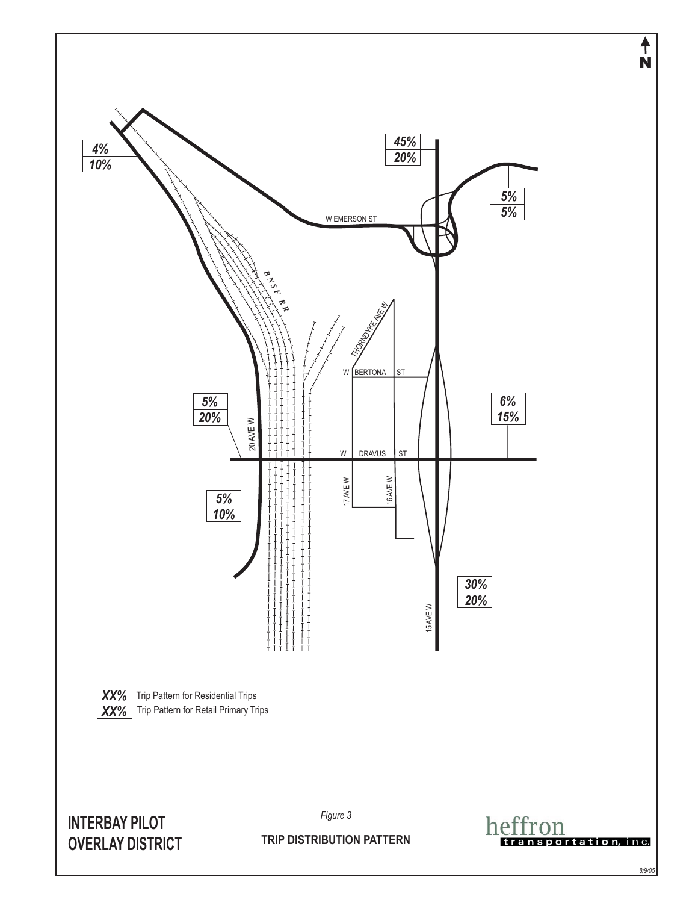<span id="page-8-0"></span>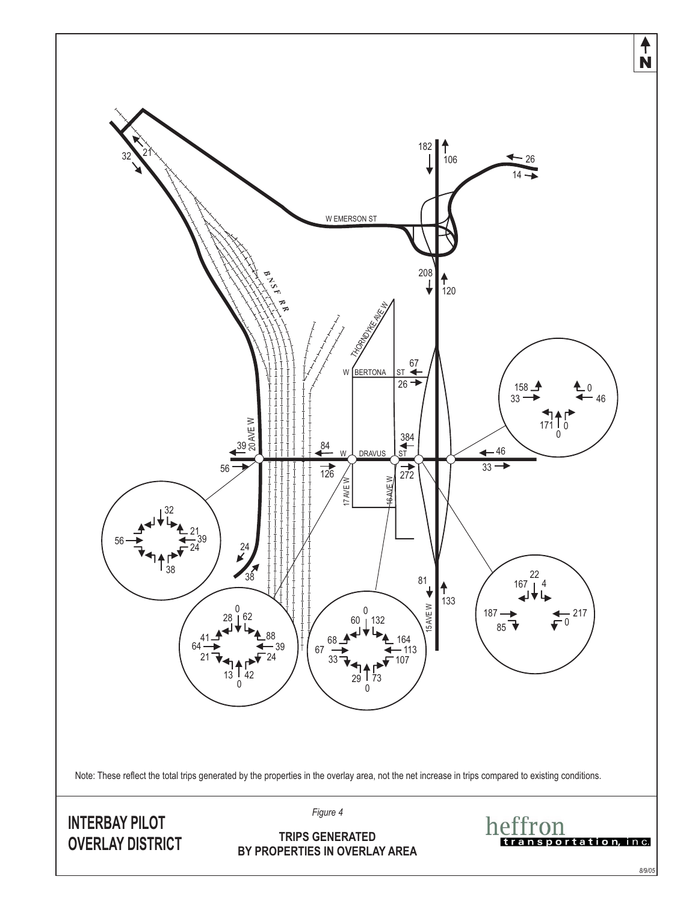<span id="page-9-0"></span>

*8/9/05*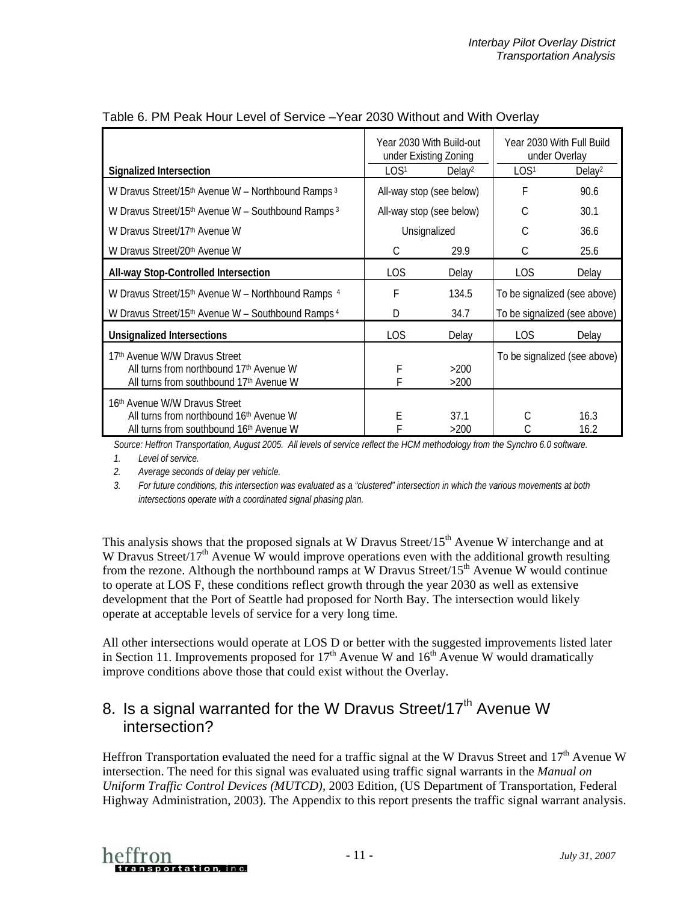|                                                                                                                                 | Year 2030 With Build-out<br>under Existing Zoning |                          |                              | Year 2030 With Full Build<br>under Overlay |
|---------------------------------------------------------------------------------------------------------------------------------|---------------------------------------------------|--------------------------|------------------------------|--------------------------------------------|
| <b>Signalized Intersection</b>                                                                                                  | LOS <sup>1</sup>                                  | Delay <sup>2</sup>       | LOS <sup>1</sup>             | Delay <sup>2</sup>                         |
| W Dravus Street/15th Avenue W - Northbound Ramps <sup>3</sup>                                                                   | All-way stop (see below)                          |                          | F                            | 90.6                                       |
| W Dravus Street/15 <sup>th</sup> Avenue W - Southbound Ramps <sup>3</sup>                                                       |                                                   | All-way stop (see below) | C                            | 30.1                                       |
| W Dravus Street/17th Avenue W                                                                                                   |                                                   | Unsignalized             | C                            | 36.6                                       |
| W Dravus Street/20th Avenue W                                                                                                   | C                                                 | 29.9                     | С                            | 25.6                                       |
| All-way Stop-Controlled Intersection                                                                                            | LOS                                               | Delay                    | <b>LOS</b>                   | Delay                                      |
| W Dravus Street/15th Avenue W - Northbound Ramps 4                                                                              | F                                                 | 134.5                    | To be signalized (see above) |                                            |
| W Dravus Street/15th Avenue W - Southbound Ramps <sup>4</sup>                                                                   | D                                                 | 34.7                     |                              | To be signalized (see above)               |
| <b>Unsignalized Intersections</b>                                                                                               | <b>LOS</b>                                        | Delay                    | <b>LOS</b>                   | Delay                                      |
| 17 <sup>th</sup> Avenue W/W Dravus Street<br>All turns from northbound 17th Avenue W<br>All turns from southbound 17th Avenue W | F<br>F                                            | >200<br>>200             |                              | To be signalized (see above)               |
| 16 <sup>th</sup> Avenue W/W Dravus Street<br>All turns from northbound 16th Avenue W<br>All turns from southbound 16th Avenue W | Е                                                 | 37.1<br>>200             | С                            | 16.3<br>16.2                               |

#### <span id="page-10-0"></span>Table 6. PM Peak Hour Level of Service –Year 2030 Without and With Overlay

*Source: Heffron Transportation, August 2005. All levels of service reflect the HCM methodology from the Synchro 6.0 software.*

*1. Level of service.* 

*2. Average seconds of delay per vehicle.* 

*3. For future conditions, this intersection was evaluated as a "clustered" intersection in which the various movements at both intersections operate with a coordinated signal phasing plan.* 

This analysis shows that the proposed signals at W Dravus Street/ $15<sup>th</sup>$  Avenue W interchange and at W Dravus Street/17<sup>th</sup> Avenue W would improve operations even with the additional growth resulting from the rezone. Although the northbound ramps at W Dravus Street/15<sup>th</sup> Avenue W would continue to operate at LOS F, these conditions reflect growth through the year 2030 as well as extensive development that the Port of Seattle had proposed for North Bay. The intersection would likely operate at acceptable levels of service for a very long time.

All other intersections would operate at LOS D or better with the suggested improvements listed later in Section 11. Improvements proposed for  $17<sup>th</sup>$  Avenue W and  $16<sup>th</sup>$  Avenue W would dramatically improve conditions above those that could exist without the Overlay.

## 8. Is a signal warranted for the W Dravus Street/17<sup>th</sup> Avenue W intersection?

Heffron Transportation evaluated the need for a traffic signal at the W Dravus Street and 17<sup>th</sup> Avenue W intersection. The need for this signal was evaluated using traffic signal warrants in the *Manual on Uniform Traffic Control Devices (MUTCD),* 2003 Edition, (US Department of Transportation, Federal Highway Administration, 2003). The Appendix to this report presents the traffic signal warrant analysis.

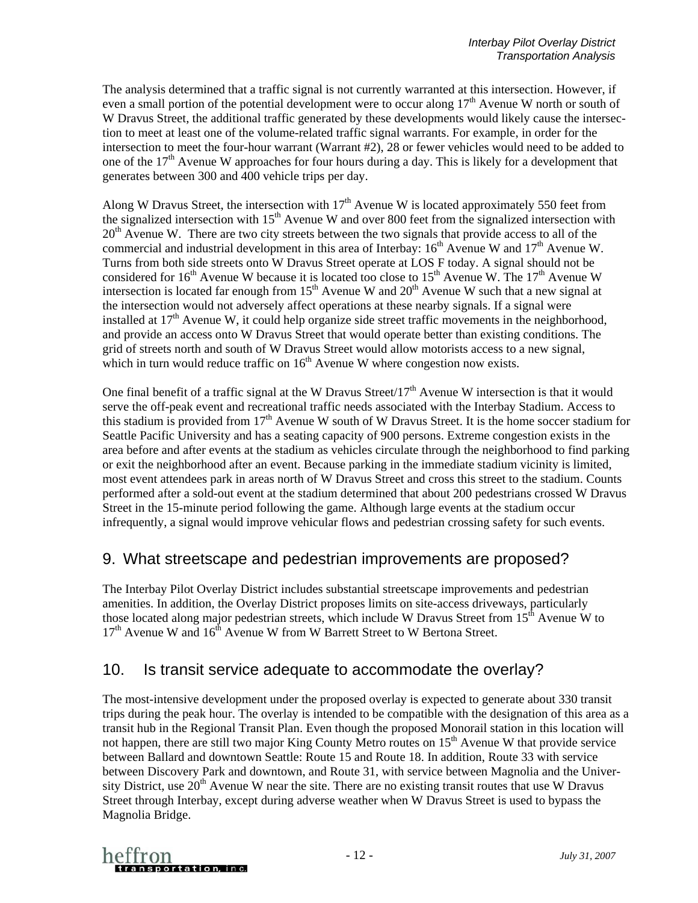The analysis determined that a traffic signal is not currently warranted at this intersection. However, if even a small portion of the potential development were to occur along  $17<sup>th</sup>$  Avenue W north or south of W Dravus Street, the additional traffic generated by these developments would likely cause the intersection to meet at least one of the volume-related traffic signal warrants. For example, in order for the intersection to meet the four-hour warrant (Warrant #2), 28 or fewer vehicles would need to be added to one of the  $17<sup>th</sup>$  Avenue W approaches for four hours during a day. This is likely for a development that generates between 300 and 400 vehicle trips per day.

Along W Dravus Street, the intersection with  $17<sup>th</sup>$  Avenue W is located approximately 550 feet from the signalized intersection with  $15<sup>th</sup>$  Avenue W and over 800 feet from the signalized intersection with  $20<sup>th</sup>$  Avenue W. There are two city streets between the two signals that provide access to all of the commercial and industrial development in this area of Interbay:  $16<sup>th</sup>$  Avenue W and  $17<sup>th</sup>$  Avenue W. Turns from both side streets onto W Dravus Street operate at LOS F today. A signal should not be considered for 16<sup>th</sup> Avenue W because it is located too close to 15<sup>th</sup> Avenue W. The 17<sup>th</sup> Avenue W intersection is located far enough from  $15<sup>th</sup>$  Avenue W and  $20<sup>th</sup>$  Avenue W such that a new signal at the intersection would not adversely affect operations at these nearby signals. If a signal were installed at  $17<sup>th</sup>$  Avenue W, it could help organize side street traffic movements in the neighborhood, and provide an access onto W Dravus Street that would operate better than existing conditions. The grid of streets north and south of W Dravus Street would allow motorists access to a new signal, which in turn would reduce traffic on  $16<sup>th</sup>$  Avenue W where congestion now exists.

One final benefit of a traffic signal at the W Dravus Street/ $17<sup>th</sup>$  Avenue W intersection is that it would serve the off-peak event and recreational traffic needs associated with the Interbay Stadium. Access to this stadium is provided from  $17<sup>th</sup>$  Avenue W south of W Dravus Street. It is the home soccer stadium for Seattle Pacific University and has a seating capacity of 900 persons. Extreme congestion exists in the area before and after events at the stadium as vehicles circulate through the neighborhood to find parking or exit the neighborhood after an event. Because parking in the immediate stadium vicinity is limited, most event attendees park in areas north of W Dravus Street and cross this street to the stadium. Counts performed after a sold-out event at the stadium determined that about 200 pedestrians crossed W Dravus Street in the 15-minute period following the game. Although large events at the stadium occur infrequently, a signal would improve vehicular flows and pedestrian crossing safety for such events.

### 9. What streetscape and pedestrian improvements are proposed?

The Interbay Pilot Overlay District includes substantial streetscape improvements and pedestrian amenities. In addition, the Overlay District proposes limits on site-access driveways, particularly those located along major pedestrian streets, which include W Dravus Street from  $15<sup>th</sup>$  Avenue W to  $17<sup>th</sup>$  Avenue W and  $16<sup>th</sup>$  Avenue W from W Barrett Street to W Bertona Street.

### 10. Is transit service adequate to accommodate the overlay?

The most-intensive development under the proposed overlay is expected to generate about 330 transit trips during the peak hour. The overlay is intended to be compatible with the designation of this area as a transit hub in the Regional Transit Plan. Even though the proposed Monorail station in this location will not happen, there are still two major King County Metro routes on  $15<sup>th</sup>$  Avenue W that provide service between Ballard and downtown Seattle: Route 15 and Route 18. In addition, Route 33 with service between Discovery Park and downtown, and Route 31, with service between Magnolia and the University District, use  $20<sup>th</sup>$  Avenue W near the site. There are no existing transit routes that use W Dravus Street through Interbay, except during adverse weather when W Dravus Street is used to bypass the Magnolia Bridge.

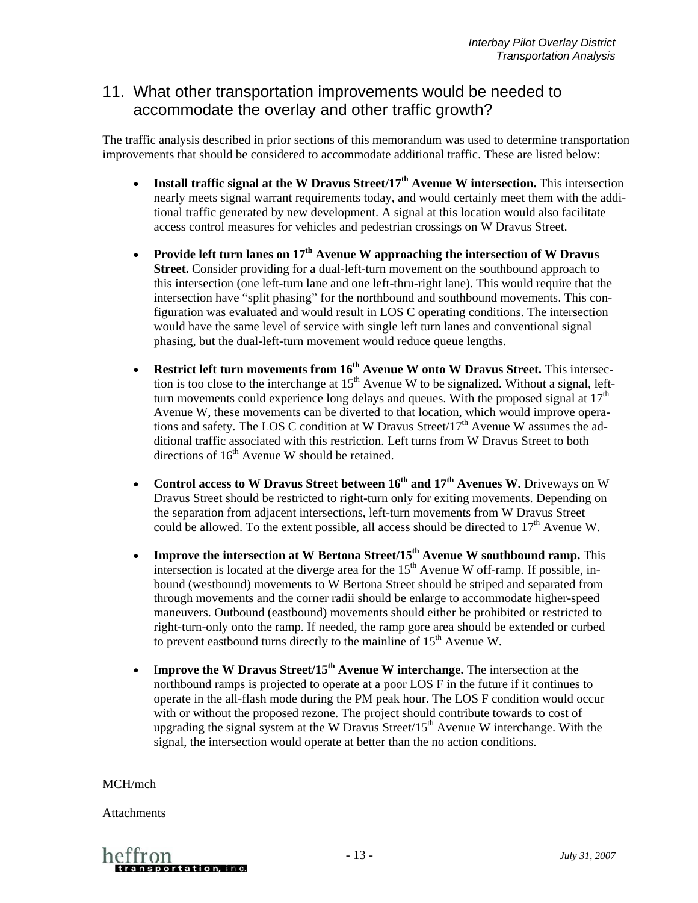#### 11. What other transportation improvements would be needed to accommodate the overlay and other traffic growth?

The traffic analysis described in prior sections of this memorandum was used to determine transportation improvements that should be considered to accommodate additional traffic. These are listed below:

- **Install traffic signal at the W Dravus Street/17th Avenue W intersection.** This intersection nearly meets signal warrant requirements today, and would certainly meet them with the additional traffic generated by new development. A signal at this location would also facilitate access control measures for vehicles and pedestrian crossings on W Dravus Street.
- **Provide left turn lanes on 17th Avenue W approaching the intersection of W Dravus Street.** Consider providing for a dual-left-turn movement on the southbound approach to this intersection (one left-turn lane and one left-thru-right lane). This would require that the intersection have "split phasing" for the northbound and southbound movements. This configuration was evaluated and would result in LOS C operating conditions. The intersection would have the same level of service with single left turn lanes and conventional signal phasing, but the dual-left-turn movement would reduce queue lengths.
- **Restrict left turn movements from 16<sup>th</sup> Avenue W onto W Dravus Street.** This intersection is too close to the interchange at  $15<sup>th</sup>$  Avenue W to be signalized. Without a signal, leftturn movements could experience long delays and queues. With the proposed signal at  $17<sup>th</sup>$ Avenue W, these movements can be diverted to that location, which would improve operations and safety. The LOS C condition at W Dravus Street/17<sup>th</sup> Avenue W assumes the additional traffic associated with this restriction. Left turns from W Dravus Street to both directions of  $16<sup>th</sup>$  Avenue W should be retained.
- **Control access to W Dravus Street between 16th and 17th Avenues W.** Driveways on W Dravus Street should be restricted to right-turn only for exiting movements. Depending on the separation from adjacent intersections, left-turn movements from W Dravus Street could be allowed. To the extent possible, all access should be directed to  $17<sup>th</sup>$  Avenue W.
- **Improve the intersection at W Bertona Street/15<sup>th</sup> Avenue W southbound ramp.** This intersection is located at the diverge area for the  $15<sup>th</sup>$  Avenue W off-ramp. If possible, inbound (westbound) movements to W Bertona Street should be striped and separated from through movements and the corner radii should be enlarge to accommodate higher-speed maneuvers. Outbound (eastbound) movements should either be prohibited or restricted to right-turn-only onto the ramp. If needed, the ramp gore area should be extended or curbed to prevent eastbound turns directly to the mainline of  $15<sup>th</sup>$  Avenue W.
- I**mprove the W Dravus Street/15th Avenue W interchange.** The intersection at the northbound ramps is projected to operate at a poor LOS F in the future if it continues to operate in the all-flash mode during the PM peak hour. The LOS F condition would occur with or without the proposed rezone. The project should contribute towards to cost of upgrading the signal system at the W Dravus Street/15<sup>th</sup> Avenue W interchange. With the signal, the intersection would operate at better than the no action conditions.

MCH/mch

Attachments

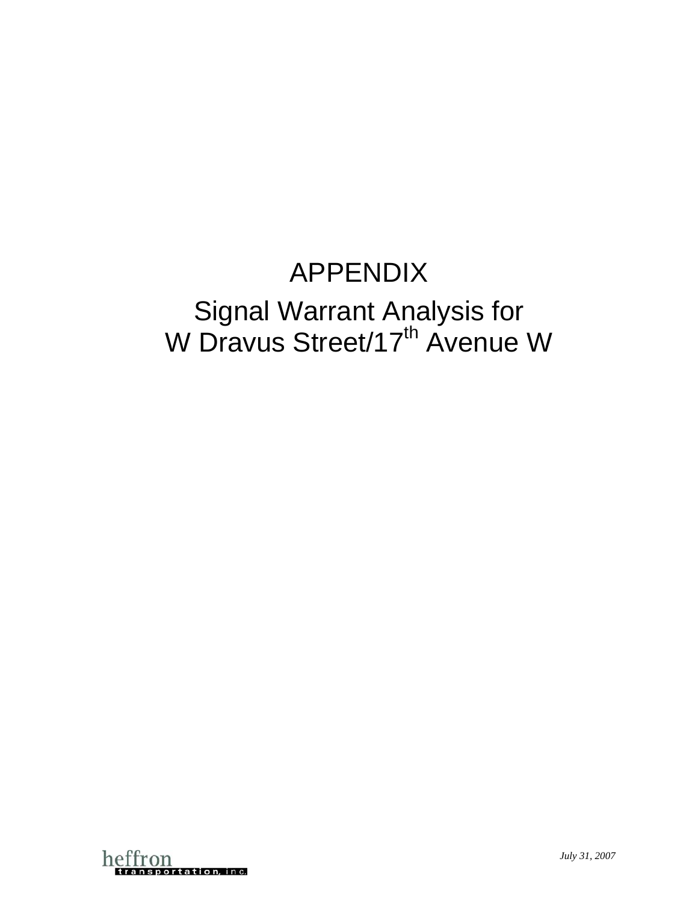## APPENDIX Signal Warrant Analysis for W Dravus Street/17<sup>th</sup> Avenue W

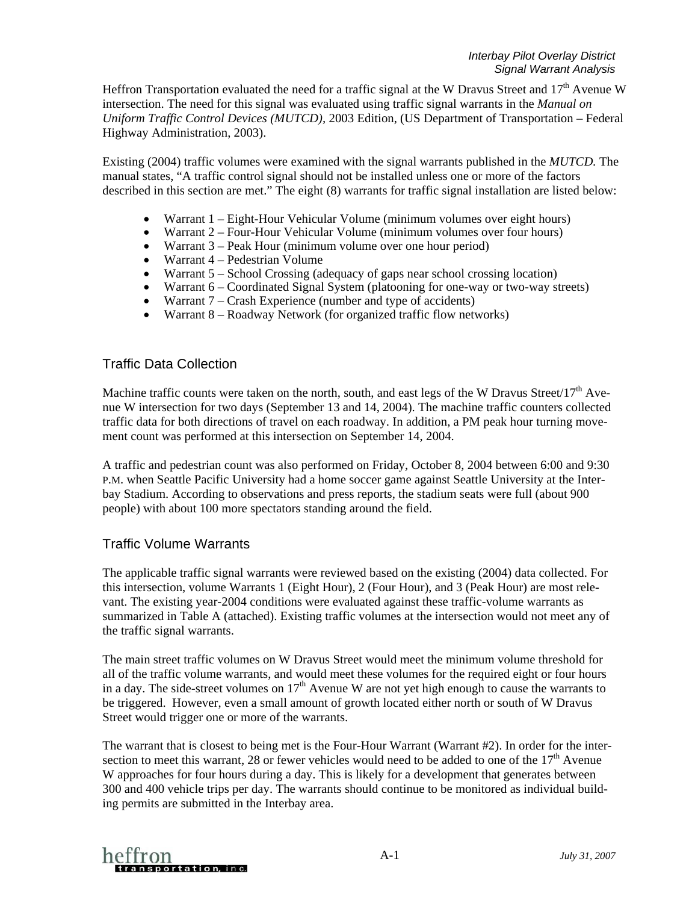Heffron Transportation evaluated the need for a traffic signal at the W Dravus Street and  $17<sup>th</sup>$  Avenue W intersection. The need for this signal was evaluated using traffic signal warrants in the *Manual on Uniform Traffic Control Devices (MUTCD),* 2003 Edition, (US Department of Transportation – Federal Highway Administration, 2003).

Existing (2004) traffic volumes were examined with the signal warrants published in the *MUTCD.* The manual states, "A traffic control signal should not be installed unless one or more of the factors described in this section are met." The eight (8) warrants for traffic signal installation are listed below:

- Warrant 1 Eight-Hour Vehicular Volume (minimum volumes over eight hours)
- Warrant 2 Four-Hour Vehicular Volume (minimum volumes over four hours)
- Warrant 3 Peak Hour (minimum volume over one hour period)
- Warrant 4 Pedestrian Volume
- Warrant 5 School Crossing (adequacy of gaps near school crossing location)
- Warrant 6 Coordinated Signal System (platooning for one-way or two-way streets)
- Warrant 7 Crash Experience (number and type of accidents)
- Warrant 8 Roadway Network (for organized traffic flow networks)

#### Traffic Data Collection

Machine traffic counts were taken on the north, south, and east legs of the W Dravus Street/17<sup>th</sup> Avenue W intersection for two days (September 13 and 14, 2004). The machine traffic counters collected traffic data for both directions of travel on each roadway. In addition, a PM peak hour turning movement count was performed at this intersection on September 14, 2004.

A traffic and pedestrian count was also performed on Friday, October 8, 2004 between 6:00 and 9:30 P.M. when Seattle Pacific University had a home soccer game against Seattle University at the Interbay Stadium. According to observations and press reports, the stadium seats were full (about 900 people) with about 100 more spectators standing around the field.

#### Traffic Volume Warrants

The applicable traffic signal warrants were reviewed based on the existing (2004) data collected. For this intersection, volume Warrants 1 (Eight Hour), 2 (Four Hour), and 3 (Peak Hour) are most relevant. The existing year-2004 conditions were evaluated against these traffic-volume warrants as summarized in Table A (attached). Existing traffic volumes at the intersection would not meet any of the traffic signal warrants.

The main street traffic volumes on W Dravus Street would meet the minimum volume threshold for all of the traffic volume warrants, and would meet these volumes for the required eight or four hours in a day. The side-street volumes on  $17<sup>th</sup>$  Avenue W are not yet high enough to cause the warrants to be triggered. However, even a small amount of growth located either north or south of W Dravus Street would trigger one or more of the warrants.

The warrant that is closest to being met is the Four-Hour Warrant (Warrant #2). In order for the intersection to meet this warrant, 28 or fewer vehicles would need to be added to one of the  $17<sup>th</sup>$  Avenue W approaches for four hours during a day. This is likely for a development that generates between 300 and 400 vehicle trips per day. The warrants should continue to be monitored as individual building permits are submitted in the Interbay area.